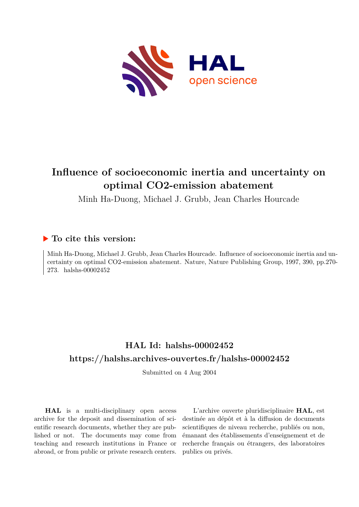

# **Influence of socioeconomic inertia and uncertainty on optimal CO2-emission abatement**

Minh Ha-Duong, Michael J. Grubb, Jean Charles Hourcade

### **To cite this version:**

Minh Ha-Duong, Michael J. Grubb, Jean Charles Hourcade. Influence of socioeconomic inertia and uncertainty on optimal CO2-emission abatement. Nature, Nature Publishing Group, 1997, 390, pp.270- 273. halshs-00002452

## **HAL Id: halshs-00002452 <https://halshs.archives-ouvertes.fr/halshs-00002452>**

Submitted on 4 Aug 2004

**HAL** is a multi-disciplinary open access archive for the deposit and dissemination of scientific research documents, whether they are published or not. The documents may come from teaching and research institutions in France or abroad, or from public or private research centers.

L'archive ouverte pluridisciplinaire **HAL**, est destinée au dépôt et à la diffusion de documents scientifiques de niveau recherche, publiés ou non, émanant des établissements d'enseignement et de recherche français ou étrangers, des laboratoires publics ou privés.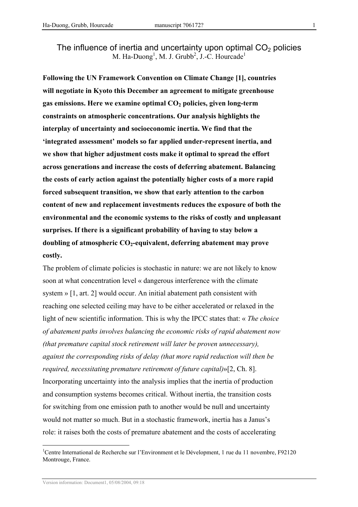The influence of inertia and uncertainty upon optimal  $CO<sub>2</sub>$  policies M. Ha-Duong<sup>1</sup>, M. J. Grubb<sup>2</sup>, J.-C. Hourcade<sup>1</sup>

Following the UN Framework Convention on Climate Change [1], countries will negotiate in Kyoto this December an agreement to mitigate greenhouse gas emissions. Here we examine optimal  $CO<sub>2</sub>$  policies, given long-term constraints on atmospheric concentrations. Our analysis highlights the interplay of uncertainty and socioeconomic inertia. We find that the 'integrated assessment' models so far applied under-represent inertia, and we show that higher adjustment costs make it optimal to spread the effort across generations and increase the costs of deferring abatement. Balancing the costs of early action against the potentially higher costs of a more rapid forced subsequent transition, we show that early attention to the carbon content of new and replacement investments reduces the exposure of both the environmental and the economic systems to the risks of costly and unpleasant surprises. If there is a significant probability of having to stay below a doubling of atmospheric  $CO<sub>2</sub>$ -equivalent, deferring abatement may prove costly.

The problem of climate policies is stochastic in nature: we are not likely to know soon at what concentration level « dangerous interference with the climate system » [1, art. 2] would occur. An initial abatement path consistent with reaching one selected ceiling may have to be either accelerated or relaxed in the light of new scientific information. This is why the IPCC states that: « The choice of abatement paths involves balancing the economic risks of rapid abatement now (that premature capital stock retirement will later be proven unnecessary), against the corresponding risks of delay (that more rapid reduction will then be required, necessitating premature retirement of future capital)»[2, Ch. 8]. Incorporating uncertainty into the analysis implies that the inertia of production and consumption systems becomes critical. Without inertia, the transition costs for switching from one emission path to another would be null and uncertainty would not matter so much. But in a stochastic framework, inertia has a Janus's role: it raises both the costs of premature abatement and the costs of accelerating

 $\overline{a}$ 

<sup>&</sup>lt;sup>1</sup>Centre International de Recherche sur l'Environment et le Dévelopment, 1 rue du 11 novembre, F92120 Montrouge, France.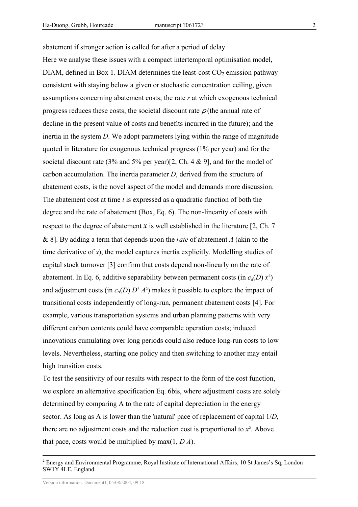abatement if stronger action is called for after a period of delay. Here we analyse these issues with a compact intertemporal optimisation model, DIAM, defined in Box 1. DIAM determines the least-cost  $CO<sub>2</sub>$  emission pathway consistent with staying below a given or stochastic concentration ceiling, given assumptions concerning abatement costs; the rate  $r$  at which exogenous technical progress reduces these costs; the societal discount rate  $\rho$  (the annual rate of decline in the present value of costs and benefits incurred in the future); and the inertia in the system D. We adopt parameters lying within the range of magnitude quoted in literature for exogenous technical progress (1% per year) and for the societal discount rate (3% and 5% per year)[2, Ch. 4 & 9], and for the model of carbon accumulation. The inertia parameter D, derived from the structure of abatement costs, is the novel aspect of the model and demands more discussion. The abatement cost at time  $t$  is expressed as a quadratic function of both the degree and the rate of abatement (Box, Eq. 6). The non-linearity of costs with respect to the degree of abatement x is well established in the literature  $[2, Ch. 7]$ & 8]. By adding a term that depends upon the *rate* of abatement A (akin to the time derivative of  $x$ ), the model captures inertia explicitly. Modelling studies of capital stock turnover [3] confirm that costs depend non-linearly on the rate of abatement. In Eq. 6, additive separability between permanent costs (in  $c_a(D) x^2$ ) and adjustment costs (in  $c_a(D) D^2 A^2$ ) makes it possible to explore the impact of transitional costs independently of long-run, permanent abatement costs [4]. For example, various transportation systems and urban planning patterns with very different carbon contents could have comparable operation costs; induced innovations cumulating over long periods could also reduce long-run costs to low levels. Nevertheless, starting one policy and then switching to another may entail high transition costs.

To test the sensitivity of our results with respect to the form of the cost function, we explore an alternative specification Eq. 6bis, where adjustment costs are solely determined by comparing A to the rate of capital depreciation in the energy sector. As long as A is lower than the 'natural' pace of replacement of capital 1/D, there are no adjustment costs and the reduction cost is proportional to  $x^2$ . Above that pace, costs would be multiplied by max $(1, D A)$ .

 $\overline{a}$ 

<sup>&</sup>lt;sup>2</sup> Energy and Environmental Programme, Royal Institute of International Affairs, 10 St James's Sq, London SW1Y 4LE, England.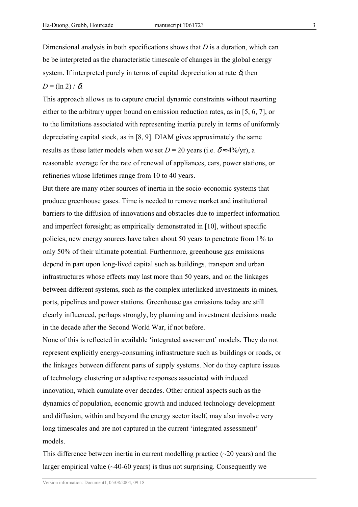Dimensional analysis in both specifications shows that  $D$  is a duration, which can be be interpreted as the characteristic timescale of changes in the global energy system. If interpreted purely in terms of capital depreciation at rate  $\delta$ , then

 $D = (\ln 2) / \delta$ .

This approach allows us to capture crucial dynamic constraints without resorting either to the arbitrary upper bound on emission reduction rates, as in [5, 6, 7], or to the limitations associated with representing inertia purely in terms of uniformly depreciating capital stock, as in [8, 9]. DIAM gives approximately the same results as these latter models when we set  $D = 20$  years (i.e.  $\delta \approx 4\%/yr$ ), a reasonable average for the rate of renewal of appliances, cars, power stations, or refineries whose lifetimes range from 10 to 40 years.

But there are many other sources of inertia in the socio-economic systems that produce greenhouse gases. Time is needed to remove market and institutional barriers to the diffusion of innovations and obstacles due to imperfect information and imperfect foresight; as empirically demonstrated in [10], without specific policies, new energy sources have taken about 50 years to penetrate from 1% to only 50% of their ultimate potential. Furthermore, greenhouse gas emissions depend in part upon long-lived capital such as buildings, transport and urban infrastructures whose effects may last more than 50 years, and on the linkages between different systems, such as the complex interlinked investments in mines, ports, pipelines and power stations. Greenhouse gas emissions today are still clearly influenced, perhaps strongly, by planning and investment decisions made in the decade after the Second World War, if not before.

None of this is reflected in available 'integrated assessment' models. They do not represent explicitly energy-consuming infrastructure such as buildings or roads, or the linkages between different parts of supply systems. Nor do they capture issues of technology clustering or adaptive responses associated with induced innovation, which cumulate over decades. Other critical aspects such as the dynamics of population, economic growth and induced technology development and diffusion, within and beyond the energy sector itself, may also involve very long timescales and are not captured in the current 'integrated assessment' models.

This difference between inertia in current modelling practice  $(\sim 20 \text{ years})$  and the larger empirical value (~40-60 years) is thus not surprising. Consequently we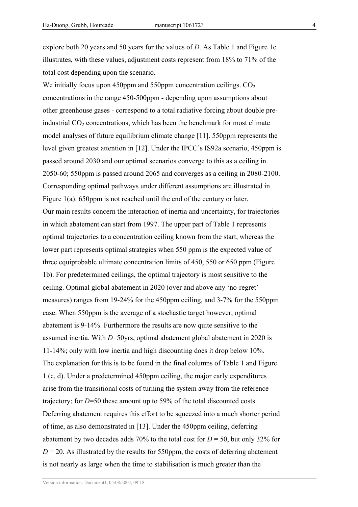explore both 20 years and 50 years for the values of D. As Table 1 and Figure 1c illustrates, with these values, adjustment costs represent from 18% to 71% of the total cost depending upon the scenario.

We initially focus upon 450ppm and 550ppm concentration ceilings.  $CO<sub>2</sub>$ concentrations in the range 450-500ppm - depending upon assumptions about other greenhouse gases - correspond to a total radiative forcing about double preindustrial  $CO<sub>2</sub>$  concentrations, which has been the benchmark for most climate model analyses of future equilibrium climate change [11]. 550ppm represents the level given greatest attention in [12]. Under the IPCC's IS92a scenario, 450ppm is passed around 2030 and our optimal scenarios converge to this as a ceiling in 2050-60; 550ppm is passed around 2065 and converges as a ceiling in 2080-2100. Corresponding optimal pathways under different assumptions are illustrated in Figure 1(a). 650ppm is not reached until the end of the century or later. Our main results concern the interaction of inertia and uncertainty, for trajectories in which abatement can start from 1997. The upper part of Table 1 represents optimal trajectories to a concentration ceiling known from the start, whereas the lower part represents optimal strategies when 550 ppm is the expected value of three equiprobable ultimate concentration limits of 450, 550 or 650 ppm (Figure 1b). For predetermined ceilings, the optimal trajectory is most sensitive to the ceiling. Optimal global abatement in 2020 (over and above any 'no-regret' measures) ranges from 19-24% for the 450ppm ceiling, and 3-7% for the 550ppm case. When 550ppm is the average of a stochastic target however, optimal abatement is 9-14%. Furthermore the results are now quite sensitive to the assumed inertia. With  $D=50$ yrs, optimal abatement global abatement in 2020 is 11-14%; only with low inertia and high discounting does it drop below 10%. The explanation for this is to be found in the final columns of Table 1 and Figure 1 (c, d). Under a predetermined 450ppm ceiling, the major early expenditures arise from the transitional costs of turning the system away from the reference trajectory; for D=50 these amount up to 59% of the total discounted costs. Deferring abatement requires this effort to be squeezed into a much shorter period of time, as also demonstrated in [13]. Under the 450ppm ceiling, deferring abatement by two decades adds 70% to the total cost for  $D = 50$ , but only 32% for  $D = 20$ . As illustrated by the results for 550ppm, the costs of deferring abatement is not nearly as large when the time to stabilisation is much greater than the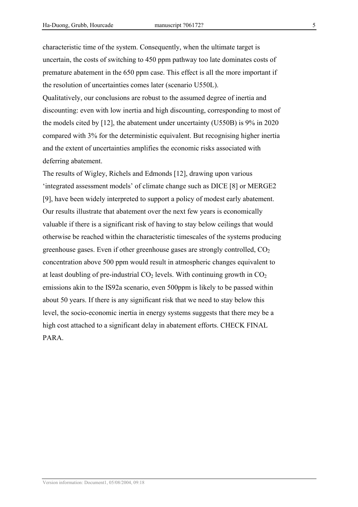characteristic time of the system. Consequently, when the ultimate target is uncertain, the costs of switching to 450 ppm pathway too late dominates costs of premature abatement in the 650 ppm case. This effect is all the more important if the resolution of uncertainties comes later (scenario U550L).

Qualitatively, our conclusions are robust to the assumed degree of inertia and discounting: even with low inertia and high discounting, corresponding to most of the models cited by [12], the abatement under uncertainty (U550B) is 9% in 2020 compared with 3% for the deterministic equivalent. But recognising higher inertia and the extent of uncertainties amplifies the economic risks associated with deferring abatement.

The results of Wigley, Richels and Edmonds [12], drawing upon various 'integrated assessment models' of climate change such as DICE [8] or MERGE2 [9], have been widely interpreted to support a policy of modest early abatement. Our results illustrate that abatement over the next few years is economically valuable if there is a significant risk of having to stay below ceilings that would otherwise be reached within the characteristic timescales of the systems producing greenhouse gases. Even if other greenhouse gases are strongly controlled,  $CO<sub>2</sub>$ concentration above 500 ppm would result in atmospheric changes equivalent to at least doubling of pre-industrial  $CO<sub>2</sub>$  levels. With continuing growth in  $CO<sub>2</sub>$ emissions akin to the IS92a scenario, even 500ppm is likely to be passed within about 50 years. If there is any significant risk that we need to stay below this level, the socio-economic inertia in energy systems suggests that there mey be a high cost attached to a significant delay in abatement efforts. CHECK FINAL PARA.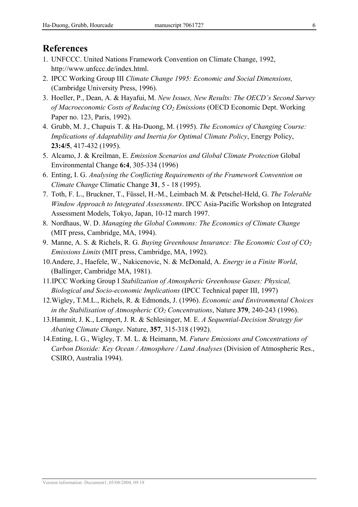## References

- 1. UNFCCC. United Nations Framework Convention on Climate Change, 1992, http://www.unfccc.de/index.html.
- 2. IPCC Working Group III Climate Change 1995: Economic and Social Dimensions, (Cambridge University Press, 1996).
- 3. Hoeller, P., Dean, A. & Hayafui, M. New Issues, New Results: The OECD's Second Survey of Macroeconomic Costs of Reducing  $CO<sub>2</sub>$  Emissions (OECD Economic Dept. Working Paper no. 123, Paris, 1992).
- 4. Grubb, M. J., Chapuis T. & Ha-Duong, M. (1995). The Economics of Changing Course: Implications of Adaptability and Inertia for Optimal Climate Policy, Energy Policy, 23:4/5, 417-432 (1995).
- 5. Alcamo, J. & Kreilman, E. Emission Scenarios and Global Climate Protection Global Environmental Change 6:4, 305-334 (1996)
- 6. Enting, I. G. Analysing the Conflicting Requirements of the Framework Convention on Climate Change Climatic Change 31, 5 - 18 (1995).
- 7. Toth, F. L., Bruckner, T., Füssel, H.-M., Leimbach M. & Petschel-Held, G. The Tolerable Window Approach to Integrated Assessments. IPCC Asia-Pacific Workshop on Integrated Assessment Models, Tokyo, Japan, 10-12 march 1997.
- 8. Nordhaus, W. D. Managing the Global Commons: The Economics of Climate Change (MIT press, Cambridge, MA, 1994).
- 9. Manne, A. S. & Richels, R. G. Buying Greenhouse Insurance: The Economic Cost of  $CO<sub>2</sub>$ Emissions Limits (MIT press, Cambridge, MA, 1992).
- 10.Andere, J., Haefele, W., Nakicenovic, N. & McDonald, A. Energy in a Finite World, (Ballinger, Cambridge MA, 1981).
- 11.IPCC Working Group I Stabilization of Atmospheric Greenhouse Gases: Physical, Biological and Socio-economic Implications (IPCC Technical paper III, 1997)
- 12.Wigley, T.M.L., Richels, R. & Edmonds, J. (1996). Economic and Environmental Choices in the Stabilisation of Atmospheric  $CO_2$  Concentrations, Nature 379, 240-243 (1996).
- 13.Hammit, J. K., Lempert, J. R. & Schlesinger, M. E. A Sequential-Decision Strategy for Abating Climate Change. Nature, 357, 315-318 (1992).
- 14.Enting, I. G., Wigley, T. M. L. & Heimann, M. Future Emissions and Concentrations of Carbon Dioxide: Key Ocean / Atmosphere / Land Analyses (Division of Atmospheric Res., CSIRO, Australia 1994).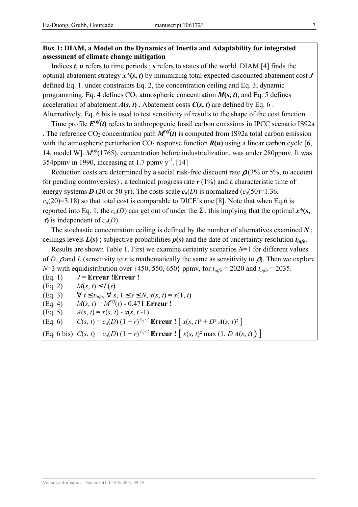#### Box 1: DIAM, a Model on the Dynamics of Inertia and Adaptability for integrated assessment of climate change mitigation

Indices  $t$ ,  $u$  refers to time periods; s refers to states of the world. DIAM [4] finds the optimal abatement strategy  $x^*(s, t)$  by minimizing total expected discounted abatement cost  $J$ defined Eq. 1. under constraints Eq. 2, the concentration ceiling and Eq. 3, dynamic programming. Eq. 4 defines  $CO_2$  atmospheric concentration  $M(s, t)$ , and Eq. 5 defines acceleration of abatement  $A(s, t)$ . Abatement costs  $C(s, t)$  are defined by Eq. 6. Alternatively, Eq. 6 bis is used to test sensitivity of results to the shape of the cost function.

Time profile  $E^{ref}(t)$  refers to anthropogenic fossil carbon emissions in IPCC scenario IS92a . The reference CO<sub>2</sub> concentration path  $M^{ref}(t)$  is computed from IS92a total carbon emission with the atmospheric perturbation  $CO_2$  response function  $R(u)$  using a linear carbon cycle [6, 14, model W].  $M^{ref}(1765)$ , concentration before industrialization, was under 280ppmv. It was 354ppmy in 1990, increasing at 1.7 ppmy  $v<sup>-1</sup>$ . [14]

Reduction costs are determined by a social risk-free discount rate  $\rho$  (3% or 5%, to account for pending controversies); a technical progress rate  $r(1\%)$  and a characteristic time of energy systems D (20 or 50 yr). The costs scale  $c_a(D)$  is normalized  $(c_a(50)=1.36$ ,  $c_a(20)=3.18$ ) so that total cost is comparable to DICE's one [8]. Note that when Eq.6 is reported into Eq. 1, the  $c_a(D)$  can get out of under the  $\Sigma$ , this implying that the optimal  $x^*(s, \cdot)$ *t*) is independant of  $c_a(D)$ .

The stochastic concentration ceiling is defined by the number of alternatives examined  $N$ ; ceilings levels  $L(s)$ ; subjective probabilities  $p(s)$  and the date of uncertainty resolution  $t_{info}$ .

Results are shown Table 1. First we examine certainty scenarios  $N=1$  for different values of D,  $\rho$  and L (sensitivity to r is mathematically the same as sensitivity to  $\rho$ ). Then we explore  $N=3$  with equidistribution over {450, 550, 650} ppmv, for  $t_{info} = 2020$  and  $t_{info} = 2035$ .

(Eq. 1)  $J =$  Erreur ! Erreur !

(Eq. 2) 
$$
M(s, t) \le L(s)
$$

(Eq. 3)  $\forall t \leq t_{info}, \forall s, 1 \leq s \leq N, x(s, t) = x(1, t)$ 

(Eq. 4)  $M(s, t) = M^{ref}(t) - 0.471$  Erreur !

(Eq. 5)  $A(s, t) = x(s, t) - x(s, t - 1)$ 

(Eq. 6) 
$$
C(s, t) = c_a(D) (1+r)^{t_0-t} \text{Error} \quad [x(s, t)^2 + D^2 A(s, t)^2]
$$

(Eq. 6 bis)  $C(s, t) = c_a(D) (1 + r)^{t_0 - t}$  **Erreur** !  $[x(s, t)^2 \max(1, D A(s, t))]$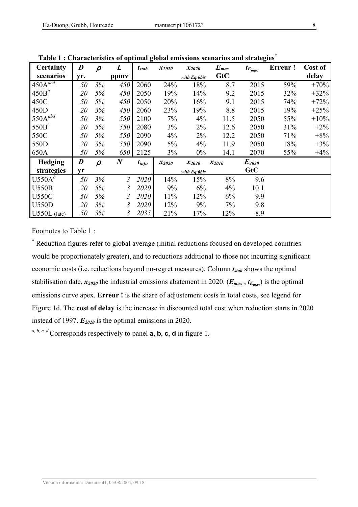| Certainty               | $\boldsymbol{D}$ | $\boldsymbol{\rho}$ | L                | $t_{stab}$ | $x_{2020}$ | $x_{2020}$   | $E_{max}$  | $t_{E_{max}}$ | Erreur! | Cost of |
|-------------------------|------------------|---------------------|------------------|------------|------------|--------------|------------|---------------|---------|---------|
| scenarios               | yr.              |                     | ppmy             |            |            | with Eq.6bis | GtC        |               |         | delay   |
| $450A^{\overline{acd}}$ | 50               | 3%                  | 450              | 2060       | 24%        | 18%          | 8.7        | 2015          | 59%     | $+70%$  |
| $450B^a$                | 20               | 5%                  | 450              | 2050       | 19%        | 14%          | 9.2        | 2015          | 32%     | $+32%$  |
| 450C                    | 50               | 5%                  | 450              | 2050       | 20%        | 16%          | 9.1        | 2015          | 74%     | $+72%$  |
| 450D                    | 20               | 3%                  | 450              | 2060       | 23%        | 19%          | 8.8        | 2015          | 19%     | $+25%$  |
| $550A^{abd}$            | 50               | 3%                  | 550              | 2100       | 7%         | 4%           | 11.5       | 2050          | 55%     | $+10%$  |
| 550B <sup>a</sup>       | 20               | 5%                  | 550              | 2080       | 3%         | $2\%$        | 12.6       | 2050          | 31%     | $+2%$   |
| 550C                    | 50               | 5%                  | 550              | 2090       | 4%         | $2\%$        | 12.2       | 2050          | 71%     | $+8%$   |
| 550D                    | 20               | 3%                  | 550              | 2090       | $5\%$      | $4\%$        | 11.9       | 2050          | 18%     | $+3%$   |
| 650A                    | 50               | 5%                  | 650              | 2125       | 3%         | $0\%$        | 14.1       | 2070          | 55%     | $+4%$   |
| Hedging                 | D                | $\boldsymbol{\rho}$ | $\boldsymbol{N}$ | $t_{info}$ | $x_{2020}$ | $x_{2020}$   | $x_{2010}$ | $E_{2020}$    |         |         |
| strategies              | yr               |                     |                  |            |            | with Eq.6bis |            | GtC           |         |         |
| $U550A^b$               | 50               | 3%                  | 3                | 2020       | 14%        | 15%          | 8%         | 9.6           |         |         |
| <b>U550B</b>            | 20               | 5%                  | 3                | 2020       | 9%         | 6%           | 4%         | 10.1          |         |         |
| <b>U550C</b>            | 50               | 5%                  | 3                | 2020       | 11%        | 12%          | 6%         | 9.9           |         |         |
| <b>U550D</b>            | 20               | 3%                  | 3                | 2020       | 12%        | 9%           | 7%         | 9.8           |         |         |
| $U550L$ (late)          | 50               | 3%                  | 3                | 2035       | 21%        | 17%          | 12%        | 8.9           |         |         |

Table 1 : Characteristics of optimal global emissions scenarios and strategies<sup>\*</sup>

Footnotes to Table 1 :

\* Reduction figures refer to global average (initial reductions focused on developed countries would be proportionately greater), and to reductions additional to those not incurring significant economic costs (i.e. reductions beyond no-regret measures). Column  $t_{stab}$  shows the optimal stabilisation date,  $x_{2020}$  the industrial emissions abatement in 2020. ( $E_{max}$ ,  $t_{E_{max}}$ ) is the optimal emissions curve apex. Erreur ! is the share of adjustement costs in total costs, see legend for Figure 1d. The cost of delay is the increase in discounted total cost when reduction starts in 2020 instead of 1997.  $E_{2020}$  is the optimal emissions in 2020.

a, b, c, d Corresponds respectively to panel  $\mathbf{a}, \mathbf{b}, \mathbf{c}, \mathbf{d}$  in figure 1.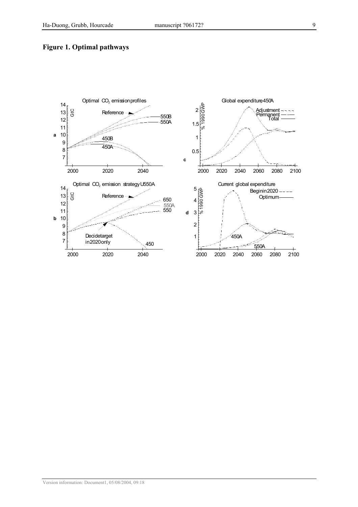#### Figure 1. Optimal pathways

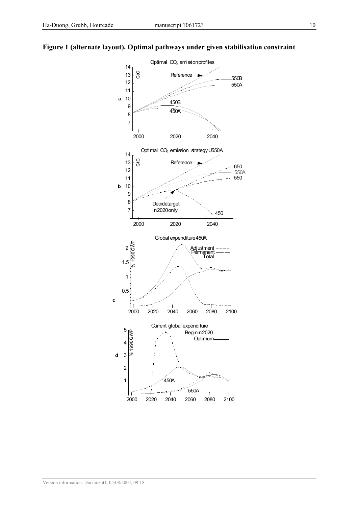#### Figure 1 (alternate layout). Optimal pathways under given stabilisation constraint

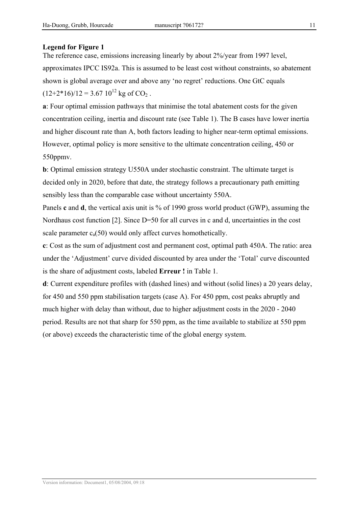#### Legend for Figure 1

The reference case, emissions increasing linearly by about 2%/year from 1997 level, approximates IPCC IS92a. This is assumed to be least cost without constraints, so abatement shown is global average over and above any 'no regret' reductions. One GtC equals  $(12+2*16)/12 = 3.67 10^{12}$  kg of CO<sub>2</sub>.

a: Four optimal emission pathways that minimise the total abatement costs for the given concentration ceiling, inertia and discount rate (see Table 1). The B cases have lower inertia and higher discount rate than A, both factors leading to higher near-term optimal emissions. However, optimal policy is more sensitive to the ultimate concentration ceiling, 450 or 550ppmv.

b: Optimal emission strategy U550A under stochastic constraint. The ultimate target is decided only in 2020, before that date, the strategy follows a precautionary path emitting sensibly less than the comparable case without uncertainty 550A.

Panels c and d, the vertical axis unit is % of 1990 gross world product (GWP), assuming the Nordhaus cost function [2]. Since D=50 for all curves in c and d, uncertainties in the cost scale parameter  $c_a(50)$  would only affect curves homothetically.

c: Cost as the sum of adjustment cost and permanent cost, optimal path 450A. The ratio: area under the 'Adjustment' curve divided discounted by area under the 'Total' curve discounted is the share of adjustment costs, labeled Erreur ! in Table 1.

d: Current expenditure profiles with (dashed lines) and without (solid lines) a 20 years delay, for 450 and 550 ppm stabilisation targets (case A). For 450 ppm, cost peaks abruptly and much higher with delay than without, due to higher adjustment costs in the 2020 - 2040 period. Results are not that sharp for 550 ppm, as the time available to stabilize at 550 ppm (or above) exceeds the characteristic time of the global energy system.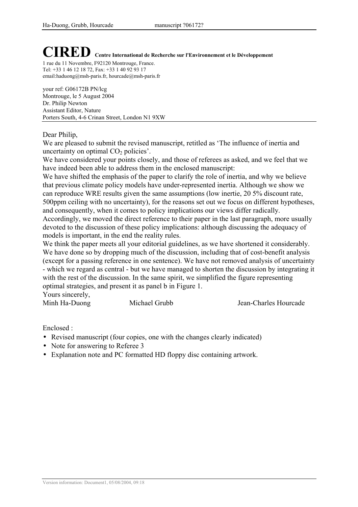# CIRED Centre International de Recherche sur l'Environnement et le Développement

1 rue du 11 Novembre, F92120 Montrouge, France. Tel: +33 1 46 12 18 72, Fax: +33 1 40 92 93 17 email:haduong@msh-paris.fr, hourcade@msh-paris.fr

your ref: G06172B PN/lcg Montrouge, le 5 August 2004 Dr. Philip Newton Assistant Editor, Nature Porters South, 4-6 Crinan Street, London N1 9XW

#### Dear Philip,

We are pleased to submit the revised manuscript, retitled as 'The influence of inertia and uncertainty on optimal  $CO<sub>2</sub>$  policies'.

We have considered your points closely, and those of referees as asked, and we feel that we have indeed been able to address them in the enclosed manuscript:

We have shifted the emphasis of the paper to clarify the role of inertia, and why we believe that previous climate policy models have under-represented inertia. Although we show we can reproduce WRE results given the same assumptions (low inertie, 20 5% discount rate, 500ppm ceiling with no uncertainty), for the reasons set out we focus on different hypotheses, and consequently, when it comes to policy implications our views differ radically.

Accordingly, we moved the direct reference to their paper in the last paragraph, more usually devoted to the discussion of these policy implications: although discussing the adequacy of models is important, in the end the reality rules.

We think the paper meets all your editorial guidelines, as we have shortened it considerably. We have done so by dropping much of the discussion, including that of cost-benefit analysis (except for a passing reference in one sentence). We have not removed analysis of uncertainty - which we regard as central - but we have managed to shorten the discussion by integrating it with the rest of the discussion. In the same spirit, we simplified the figure representing optimal strategies, and present it as panel b in Figure 1.

Yours sincerely,

Minh Ha-Duong Michael Grubb Jean-Charles Hourcade

Enclosed :

- Revised manuscript (four copies, one with the changes clearly indicated)
- Note for answering to Referee 3
- Explanation note and PC formatted HD floppy disc containing artwork.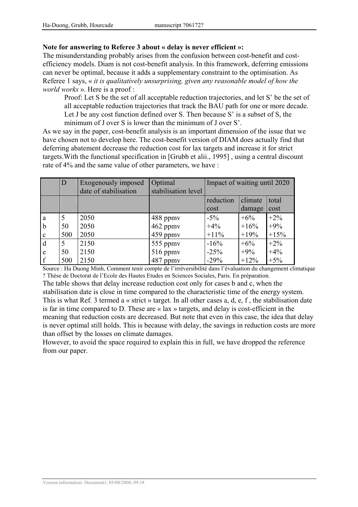#### Note for answering to Referee 3 about « delay is never efficient »:

The misunderstanding probably arises from the confusion between cost-benefit and costefficiency models. Diam is not cost-benefit analysis. In this framework, deferring emissions can never be optimal, because it adds a supplementary constraint to the optimisation. As Referee 1 says, « it is qualitatively unsurprising, given any reasonable model of how the world works ». Here is a proof :

Proof: Let S be the set of all acceptable reduction trajectories, and let S' be the set of all acceptable reduction trajectories that track the BAU path for one or more decade. Let J be any cost function defined over S. Then because S' is a subset of S, the minimum of J over S is lower than the minimum of J over S'.

As we say in the paper, cost-benefit analysis is an important dimension of the issue that we have chosen not to develop here. The cost-benefit version of DIAM does actually find that deferring abatement decrease the reduction cost for lax targets and increase it for strict targets.With the functional specification in [Grubb et alii., 1995] , using a central discount rate of 4% and the same value of other parameters, we have :

|              | D   | Exogenously imposed<br>date of stabilisation | Optimal<br>stabilisation level | Impact of waiting until 2020 |         |        |
|--------------|-----|----------------------------------------------|--------------------------------|------------------------------|---------|--------|
|              |     |                                              |                                | reduction                    | climate | total  |
|              |     |                                              |                                | cost                         | damage  | cost   |
| a            | 5   | 2050                                         | 488 ppmy                       | $-5\%$                       | $+6\%$  | $+2\%$ |
| $\mathbf b$  | 50  | 2050                                         | 462 ppmv                       | $+4%$                        | $+16%$  | $+9%$  |
| $\mathbf{c}$ | 500 | 2050                                         | 459 ppmv                       | $+11\%$                      | $+19%$  | $+15%$ |
| d            | 5   | 2150                                         | 555 ppmv                       | $-16%$                       | $+6\%$  | $+2\%$ |
| e            | 50  | 2150                                         | 516 ppmv                       | $-25%$                       | $+9\%$  | $+4%$  |
| $\mathbf f$  | 500 | 2150                                         | 487 ppmy                       | $-29%$                       | $+12\%$ | $+5%$  |

Source : Ha Duong Minh, Comment tenir compte de l'irréversibilité dans l'évaluation du changement climatique ? Thèse de Doctorat de l'Ecole des Hautes Etudes en Sciences Sociales, Paris. En préparation.

The table shows that delay increase reduction cost only for cases b and c, when the stabilisation date is close in time compared to the characteristic time of the energy system. This is what Ref. 3 termed a « strict » target. In all other cases a, d, e, f , the stabilisation date is far in time compared to D. These are « lax » targets, and delay is cost-efficient in the meaning that reduction costs are decreased. But note that even in this case, the idea that delay is never optimal still holds. This is because with delay, the savings in reduction costs are more than offset by the losses on climate damages.

However, to avoid the space required to explain this in full, we have dropped the reference from our paper.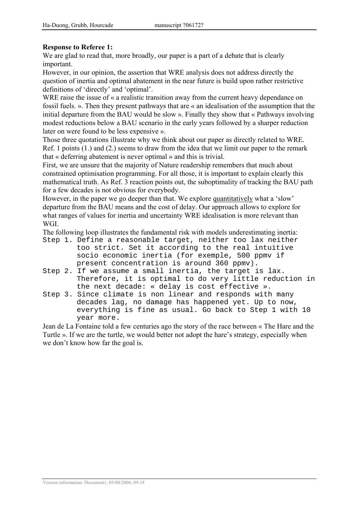#### Response to Referee 1:

We are glad to read that, more broadly, our paper is a part of a debate that is clearly important.

However, in our opinion, the assertion that WRE analysis does not address directly the question of inertia and optimal abatement in the near future is build upon rather restrictive definitions of 'directly' and 'optimal'.

WRE raise the issue of « a realistic transition away from the current heavy dependance on fossil fuels. ». Then they present pathways that are « an idealisation of the assumption that the initial departure from the BAU would be slow ». Finally they show that « Pathways involving modest reductions below a BAU scenario in the early years followed by a sharper reduction later on were found to be less expensive ».

Those three quotations illustrate why we think about our paper as directly related to WRE. Ref. 1 points (1.) and (2.) seems to draw from the idea that we limit our paper to the remark that « deferring abatement is never optimal » and this is trivial.

First, we are unsure that the majority of Nature readership remembers that much about constrained optimisation programming. For all those, it is important to explain clearly this mathematical truth. As Ref. 3 reaction points out, the suboptimality of tracking the BAU path for a few decades is not obvious for everybody.

However, in the paper we go deeper than that. We explore quantitatively what a 'slow' departure from the BAU means and the cost of delay. Our approach allows to explore for what ranges of values for inertia and uncertainty WRE idealisation is more relevant than WGI.

The following loop illustrates the fundamental risk with models underestimating inertia: Step 1. Define a reasonable target, neither too lax neither

- too strict. Set it according to the real intuitive socio economic inertia (for exemple, 500 ppmv if present concentration is around 360 ppmv).
- Step 2. If we assume a small inertia, the target is lax. Therefore, it is optimal to do very little reduction in the next decade: « delay is cost effective ».
- Step 3. Since climate is non linear and responds with many decades lag, no damage has happened yet. Up to now, everything is fine as usual. Go back to Step 1 with 10 year more.

Jean de La Fontaine told a few centuries ago the story of the race between « The Hare and the Turtle ». If we are the turtle, we would better not adopt the hare's strategy, especially when we don't know how far the goal is.